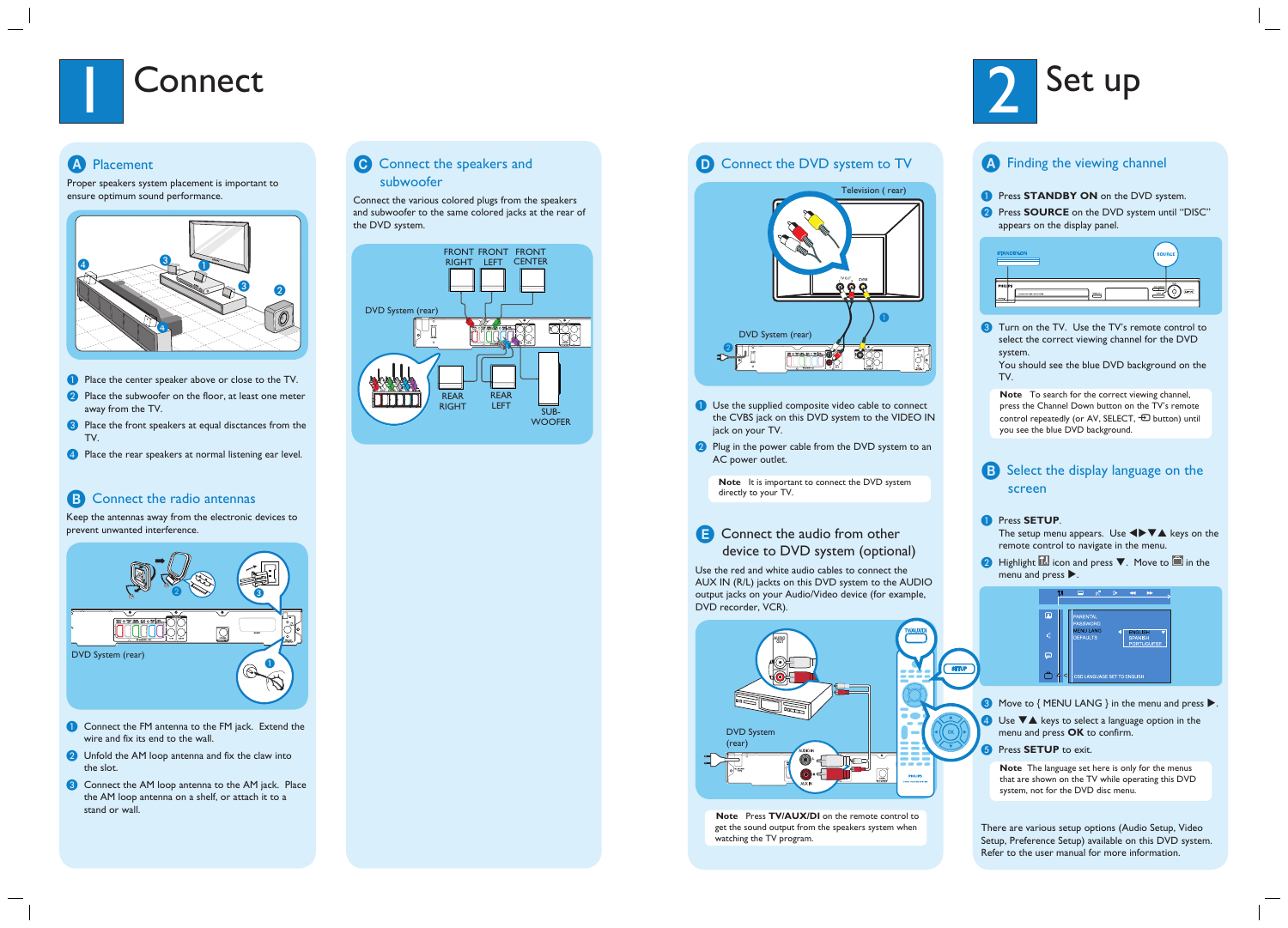

### A Placement

Proper speakers system placement is important to ensure optimum sound performance.



- **A** Place the center speaker above or close to the TV.
- 2 Place the subwoofer on the floor, at least one meter away from the TV.
- <sup>3</sup> Place the front speakers at equal disctances from the TV.
- 4 Place the rear speakers at normal listening ear level.

### **B** Connect the radio antennas

- **Connect the FM antenna to the FM jack. Extend the** wire and fix its end to the wall.
- **2** Unfold the AM loop antenna and fix the claw into the slot.
- **C** Connect the AM loop antenna to the AM jack. Place the AM loop antenna on a shelf, or attach it to a stand or wall.

### **C** Connect the speakers and subwoofer

Keep the antennas away from the electronic devices to prevent unwanted interference.

Connect the various colored plugs from the speakers and subwoofer to the same colored jacks at the rear of the DVD system.



### **D** Connect the DVD system to TV

- **A** Use the supplied composite video cable to connect the CVBS jack on this DVD system to the VIDEO IN jack on your TV.
- 2 Plug in the power cable from the DVD system to an AC power outlet.



### **E** Connect the audio from other device to DVD system (optional)





**Note** It is important to connect the DVD system directly to your TV.

Use the red and white audio cables to connect the AUX IN (R/L) jackts on this DVD system to the AUDIO output jacks on your Audio/Video device (for example, DVD recorder, VCR).



**Note** Press **TV/AUX/DI** on the remote control to get the sound output from the speakers system when watching the TV program.